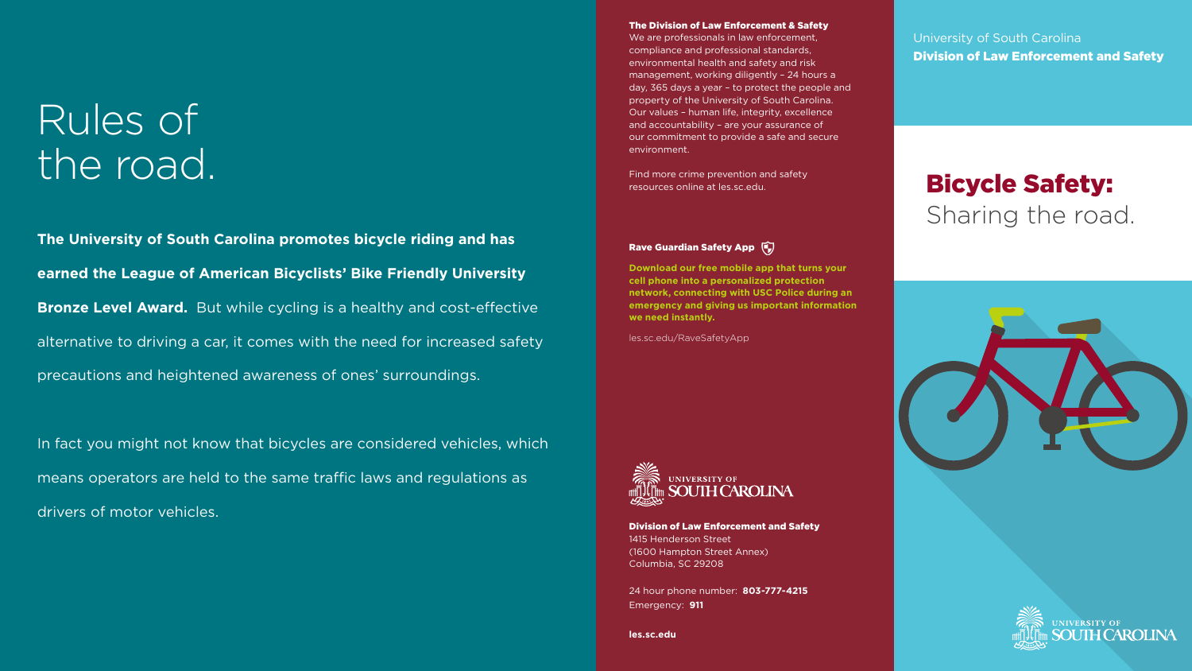# Rules of the road.

**The University of South Carolina promotes bicycle riding and has earned the League of American Bicyclists' Bike Friendly University Bronze Level Award.** But while cycling is a healthy and cost-effective alternative to driving a car, it comes with the need for increased safety precautions and heightened awareness of ones' surroundings.

In fact you might not know that bicycles are considered vehicles, which means operators are held to the same traffic laws and regulations as drivers of motor vehicles.

University of South Carolina Division of Law Enforcement and Safety

## Bicycle Safety: Sharing the road.





Division of Law Enforcement and Safety 1415 Henderson Street (1600 Hampton Street Annex) Columbia, SC 29208

24 hour phone number: **803-777-4215** Emergency: **911**

**les.sc.edu**

#### The Division of Law Enforcement & Safety

We are professionals in law enforcement, compliance and professional standards, environmental health and safety and risk management, working diligently – 24 hours a day, 365 days a year – to protect the people and property of the University of South Carolina. Our values – human life, integrity, excellence and accountability – are your assurance of our commitment to provide a safe and secure environment.

Find more crime prevention and safety resources online at les.sc.edu.

#### Rave Guardian Safety App (

**Download our free mobile app that turns your cell phone into a personalized protection network, connecting with USC Police during an emergency and giving us important information we need instantly.**

les.sc.edu/RaveSafetyApp